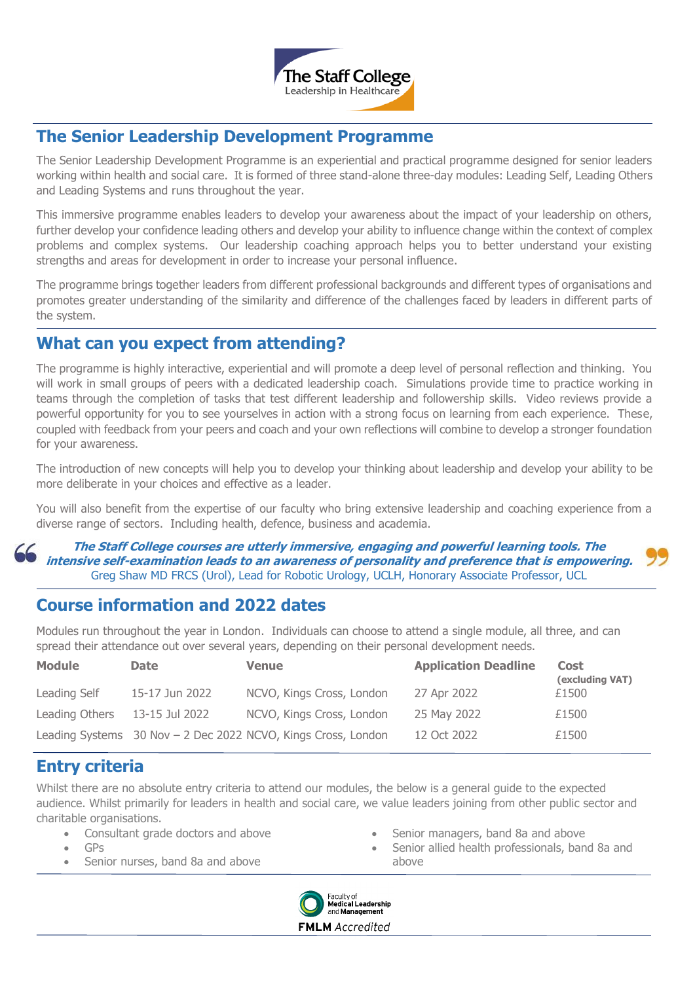

## **The Senior Leadership Development Programme**

The Senior Leadership Development Programme is an experiential and practical programme designed for senior leaders working within health and social care. It is formed of three stand-alone three-day modules: Leading Self, Leading Others and Leading Systems and runs throughout the year.

This immersive programme enables leaders to develop your awareness about the impact of your leadership on others, further develop your confidence leading others and develop your ability to influence change within the context of complex problems and complex systems. Our leadership coaching approach helps you to better understand your existing strengths and areas for development in order to increase your personal influence.

The programme brings together leaders from different professional backgrounds and different types of organisations and promotes greater understanding of the similarity and difference of the challenges faced by leaders in different parts of the system.

### **What can you expect from attending?**

The programme is highly interactive, experiential and will promote a deep level of personal reflection and thinking. You will work in small groups of peers with a dedicated leadership coach. Simulations provide time to practice working in teams through the completion of tasks that test different leadership and followership skills. Video reviews provide a powerful opportunity for you to see yourselves in action with a strong focus on learning from each experience. These, coupled with feedback from your peers and coach and your own reflections will combine to develop a stronger foundation for your awareness.

The introduction of new concepts will help you to develop your thinking about leadership and develop your ability to be more deliberate in your choices and effective as a leader.

You will also benefit from the expertise of our faculty who bring extensive leadership and coaching experience from a diverse range of sectors. Including health, defence, business and academia.

**The Staff College courses are utterly immersive, engaging and powerful learning tools. The intensive self-examination leads to an awareness of personality and preference that is empowering.** Greg Shaw MD FRCS (Urol), Lead for Robotic Urology, UCLH, Honorary Associate Professor, UCL

# **Course information and 2022 dates**

Modules run throughout the year in London. Individuals can choose to attend a single module, all three, and can spread their attendance out over several years, depending on their personal development needs.

| <b>Module</b>  | <b>Date</b>    | <b>Venue</b>                                                  | <b>Application Deadline</b> | <b>Cost</b><br>(excluding VAT) |
|----------------|----------------|---------------------------------------------------------------|-----------------------------|--------------------------------|
| Leading Self   | 15-17 Jun 2022 | NCVO, Kings Cross, London                                     | 27 Apr 2022                 | £1500                          |
| Leading Others | 13-15 Jul 2022 | NCVO, Kings Cross, London                                     | 25 May 2022                 | £1500                          |
|                |                | Leading Systems 30 Nov - 2 Dec 2022 NCVO, Kings Cross, London | 12 Oct 2022                 | £1500                          |

# **Entry criteria**

Whilst there are no absolute entry criteria to attend our modules, the below is a general guide to the expected audience. Whilst primarily for leaders in health and social care, we value leaders joining from other public sector and charitable organisations.

- Consultant grade doctors and above
- GPs
- Senior nurses, band 8a and above
- Senior managers, band 8a and above
- Senior allied health professionals, band 8a and above